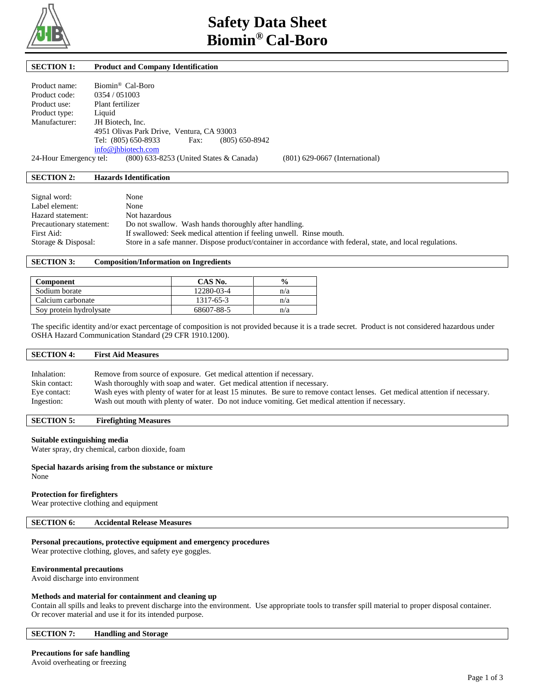

# **SECTION 1: Product and Company Identification**

| Product name:               | Biomin® Cal-Boro                                                  |  |  |
|-----------------------------|-------------------------------------------------------------------|--|--|
| Product code:               | 0354 / 051003                                                     |  |  |
| Product use:                | Plant fertilizer                                                  |  |  |
| Product type:               | Liquid                                                            |  |  |
| Manufacturer:               | JH Biotech, Inc.                                                  |  |  |
|                             | 4951 Olivas Park Drive, Ventura, CA 93003                         |  |  |
|                             | $(805) 650 - 8942$<br>Tel: (805) 650-8933<br>Fax:                 |  |  |
|                             | info@jhbiotech.com                                                |  |  |
| $\sim$ $\cdot$ $\cdot$<br>− | $(0.00 \times 27.0)$ $(0.00 \times 27.0)$ $(1.0 \times 10^{-10})$ |  |  |

24-Hour Emergency tel: (800) 633-8253 (United States & Canada) (801) 629-0667 (International)

# **SECTION 2: Hazards Identification**

| Signal word:             | None                                                                                                        |
|--------------------------|-------------------------------------------------------------------------------------------------------------|
| Label element:           | None                                                                                                        |
| Hazard statement:        | Not hazardous                                                                                               |
| Precautionary statement: | Do not swallow. Wash hands thoroughly after handling.                                                       |
| First Aid:               | If swallowed: Seek medical attention if feeling unwell. Rinse mouth.                                        |
| Storage & Disposal:      | Store in a safe manner. Dispose product/container in accordance with federal, state, and local regulations. |

# **SECTION 3: Composition/Information on Ingredients**

| Component               | CAS No.    | $\frac{6}{9}$ |
|-------------------------|------------|---------------|
| Sodium borate           | 12280-03-4 | n/a           |
| Calcium carbonate       | 1317-65-3  | n/a           |
| Soy protein hydrolysate | 68607-88-5 | n/a           |

The specific identity and/or exact percentage of composition is not provided because it is a trade secret. Product is not considered hazardous under OSHA Hazard Communication Standard (29 CFR 1910.1200).

| <b>SECTION 4:</b> | <b>First Aid Measures</b>                                                                                                     |
|-------------------|-------------------------------------------------------------------------------------------------------------------------------|
|                   |                                                                                                                               |
| Inhalation:       | Remove from source of exposure. Get medical attention if necessary.                                                           |
| Skin contact:     | Wash thoroughly with soap and water. Get medical attention if necessary.                                                      |
| Eye contact:      | Wash eyes with plenty of water for at least 15 minutes. Be sure to remove contact lenses. Get medical attention if necessary. |
| Ingestion:        | Wash out mouth with plenty of water. Do not induce vomiting. Get medical attention if necessary.                              |

# **SECTION 5: Firefighting Measures**

# **Suitable extinguishing media**

Water spray, dry chemical, carbon dioxide, foam

#### **Special hazards arising from the substance or mixture** None

# **Protection for firefighters**

Wear protective clothing and equipment

# **SECTION 6: Accidental Release Measures**

# **Personal precautions, protective equipment and emergency procedures**

Wear protective clothing, gloves, and safety eye goggles.

# **Environmental precautions**

Avoid discharge into environment

# **Methods and material for containment and cleaning up**

Contain all spills and leaks to prevent discharge into the environment. Use appropriate tools to transfer spill material to proper disposal container. Or recover material and use it for its intended purpose.

# **SECTION 7: Handling and Storage**

# **Precautions for safe handling**

Avoid overheating or freezing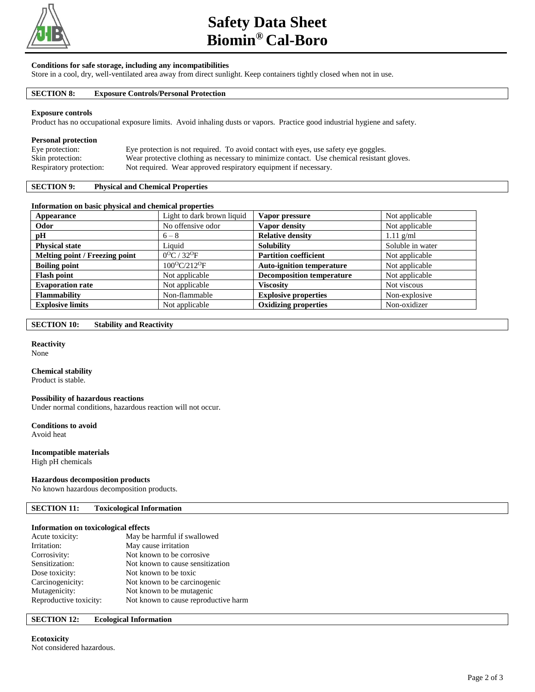

# **Safety Data Sheet Biomin® Cal-Boro**

# **Conditions for safe storage, including any incompatibilities**

Store in a cool, dry, well-ventilated area away from direct sunlight. Keep containers tightly closed when not in use.

# **SECTION 8: Exposure Controls/Personal Protection**

#### **Exposure controls**

Product has no occupational exposure limits. Avoid inhaling dusts or vapors. Practice good industrial hygiene and safety.

# **Personal protection**

| Eye protection:         | Eye protection is not required. To avoid contact with eyes, use safety eye goggles.       |
|-------------------------|-------------------------------------------------------------------------------------------|
| Skin protection:        | Wear protective clothing as necessary to minimize contact. Use chemical resistant gloves. |
| Respiratory protection: | Not required. Wear approved respiratory equipment if necessary.                           |

# **SECTION 9: Physical and Chemical Properties**

#### **Information on basic physical and chemical properties**

| Appearance                     | Light to dark brown liquid            | Vapor pressure                   | Not applicable   |
|--------------------------------|---------------------------------------|----------------------------------|------------------|
| Odor                           | No offensive odor                     | Vapor density                    | Not applicable   |
| pH                             | $6 - 8$                               | <b>Relative density</b>          | $1.11$ g/ml      |
| <b>Physical state</b>          | Liquid                                | <b>Solubility</b>                | Soluble in water |
| Melting point / Freezing point | $0^{\circ}$ C / 32 <sup>o</sup> F     | <b>Partition coefficient</b>     | Not applicable   |
| <b>Boiling point</b>           | 100 <sup>o</sup> C/212 <sup>o</sup> F | <b>Auto-ignition temperature</b> | Not applicable   |
| <b>Flash point</b>             | Not applicable                        | <b>Decomposition temperature</b> | Not applicable   |
| <b>Evaporation rate</b>        | Not applicable                        | <b>Viscosity</b>                 | Not viscous      |
| <b>Flammability</b>            | Non-flammable                         | <b>Explosive properties</b>      | Non-explosive    |
| <b>Explosive limits</b>        | Not applicable                        | <b>Oxidizing properties</b>      | Non-oxidizer     |

# **SECTION 10: Stability and Reactivity**

# **Reactivity**

None

#### **Chemical stability**

Product is stable.

# **Possibility of hazardous reactions**

Under normal conditions, hazardous reaction will not occur.

# **Conditions to avoid**

Avoid heat

# **Incompatible materials**

High pH chemicals

#### **Hazardous decomposition products**

No known hazardous decomposition products.

# **SECTION 11: Toxicological Information**

#### **Information on toxicological effects**

| Acute toxicity:        | May be harmful if swallowed          |
|------------------------|--------------------------------------|
| Irritation:            | May cause irritation                 |
| Corrosivity:           | Not known to be corrosive.           |
| Sensitization:         | Not known to cause sensitization     |
| Dose toxicity:         | Not known to be toxic                |
| Carcinogenicity:       | Not known to be carcinogenic         |
| Mutagenicity:          | Not known to be mutagenic            |
| Reproductive toxicity: | Not known to cause reproductive harm |
|                        |                                      |

# **SECTION 12: Ecological Information**

# **Ecotoxicity**

Not considered hazardous.